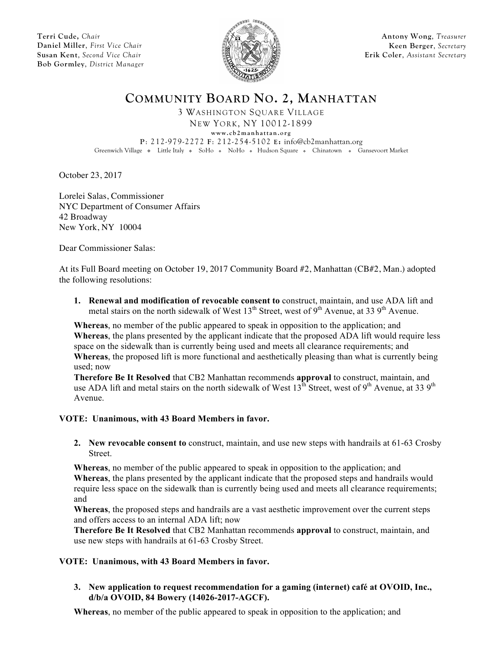**Terri Cude,** *Chair* **Daniel Miller**, *First Vice Chair* **Susan Kent**, *Second Vice Chair* **Bob Gormley**, *District Manager*



**Antony Wong**, *Treasurer* **Keen Berger**, *Secretary* **Erik Coler**, *Assistant Secretary*

**COMMUNITY BOARD NO. 2, MANHATTAN**

3 WASHINGTON SQUARE VILLAGE NEW YORK, NY 10012-1899

**www.cb2manhattan.org**

**P**: 212-979-2272 **F**: 212-254-5102 **E:** info@cb2manhattan.org

Greenwich Village • Little Italy • SoHo • NoHo • Hudson Square • Chinatown • Gansevoort Market

October 23, 2017

Lorelei Salas, Commissioner NYC Department of Consumer Affairs 42 Broadway New York, NY 10004

Dear Commissioner Salas:

At its Full Board meeting on October 19, 2017 Community Board #2, Manhattan (CB#2, Man.) adopted the following resolutions:

**1. Renewal and modification of revocable consent to** construct, maintain, and use ADA lift and metal stairs on the north sidewalk of West  $13<sup>th</sup>$  Street, west of 9<sup>th</sup> Avenue, at 33 9<sup>th</sup> Avenue.

**Whereas**, no member of the public appeared to speak in opposition to the application; and **Whereas**, the plans presented by the applicant indicate that the proposed ADA lift would require less space on the sidewalk than is currently being used and meets all clearance requirements; and **Whereas**, the proposed lift is more functional and aesthetically pleasing than what is currently being used; now

**Therefore Be It Resolved** that CB2 Manhattan recommends **approval** to construct, maintain, and use ADA lift and metal stairs on the north sidewalk of West  $13^{th}$  Street, west of 9<sup>th</sup> Avenue, at 33 9<sup>th</sup> Avenue.

# **VOTE: Unanimous, with 43 Board Members in favor.**

**2. New revocable consent to** construct, maintain, and use new steps with handrails at 61-63 Crosby Street.

**Whereas**, no member of the public appeared to speak in opposition to the application; and **Whereas**, the plans presented by the applicant indicate that the proposed steps and handrails would require less space on the sidewalk than is currently being used and meets all clearance requirements; and

**Whereas**, the proposed steps and handrails are a vast aesthetic improvement over the current steps and offers access to an internal ADA lift; now

**Therefore Be It Resolved** that CB2 Manhattan recommends **approval** to construct, maintain, and use new steps with handrails at 61-63 Crosby Street.

# **VOTE: Unanimous, with 43 Board Members in favor.**

**3. New application to request recommendation for a gaming (internet) café at OVOID, Inc., d/b/a OVOID, 84 Bowery (14026-2017-AGCF).**

**Whereas**, no member of the public appeared to speak in opposition to the application; and